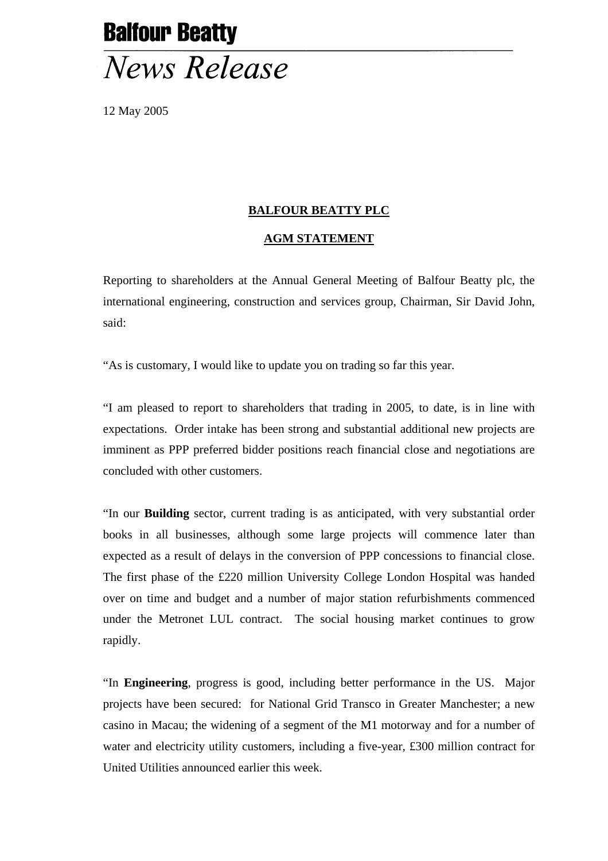## **Balfour Beatty News Release**

12 May 2005

## **BALFOUR BEATTY PLC**

## **AGM STATEMENT**

Reporting to shareholders at the Annual General Meeting of Balfour Beatty plc, the international engineering, construction and services group, Chairman, Sir David John, said:

"As is customary, I would like to update you on trading so far this year.

"I am pleased to report to shareholders that trading in 2005, to date, is in line with expectations. Order intake has been strong and substantial additional new projects are imminent as PPP preferred bidder positions reach financial close and negotiations are concluded with other customers.

"In our **Building** sector, current trading is as anticipated, with very substantial order books in all businesses, although some large projects will commence later than expected as a result of delays in the conversion of PPP concessions to financial close. The first phase of the £220 million University College London Hospital was handed over on time and budget and a number of major station refurbishments commenced under the Metronet LUL contract. The social housing market continues to grow rapidly.

"In **Engineering**, progress is good, including better performance in the US. Major projects have been secured: for National Grid Transco in Greater Manchester; a new casino in Macau; the widening of a segment of the M1 motorway and for a number of water and electricity utility customers, including a five-year, £300 million contract for United Utilities announced earlier this week.